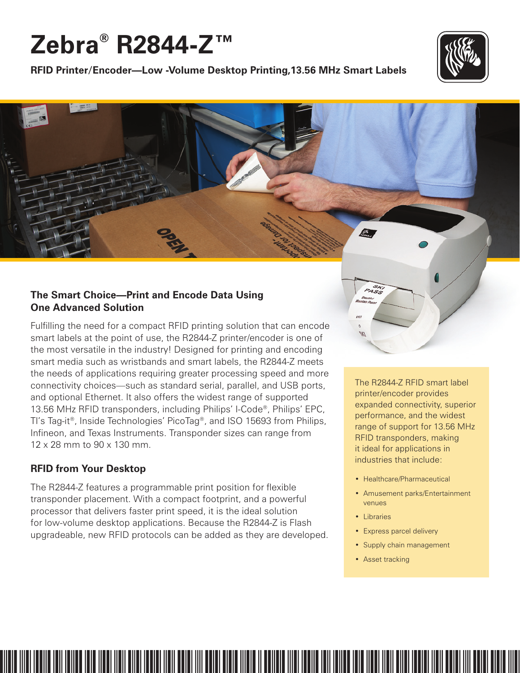# **Zebra® R2844-Z™**





## **The Smart Choice—Print and Encode Data Using One Advanced Solution**

Fulfilling the need for a compact RFID printing solution that can encode smart labels at the point of use, the R2844-Z printer/encoder is one of the most versatile in the industry! Designed for printing and encoding smart media such as wristbands and smart labels, the R2844-Z meets the needs of applications requiring greater processing speed and more connectivity choices—such as standard serial, parallel, and USB ports, and optional Ethernet. It also offers the widest range of supported 13.56 MHz RFID transponders, including Philips' I-Code®, Philips' EPC, TI's Tag-it®, Inside Technologies' PicoTag®, and ISO 15693 from Philips, Infineon, and Texas Instruments. Transponder sizes can range from 12 x 28 mm to 90 x 130 mm.

## **RFID from Your Desktop**

The R2844-Z features a programmable print position for flexible transponder placement. With a compact footprint, and a powerful processor that delivers faster print speed, it is the ideal solution for low-volume desktop applications. Because the R2844-Z is Flash upgradeable, new RFID protocols can be added as they are developed. The R2844-Z RFID smart label printer/encoder provides expanded connectivity, superior performance, and the widest range of support for 13.56 MHz RFID transponders, making it ideal for applications in industries that include:

- Healthcare/Pharmaceutical
- Amusement parks/Entertainment venues
- Libraries
- Express parcel delivery
- Supply chain management
- Asset tracking